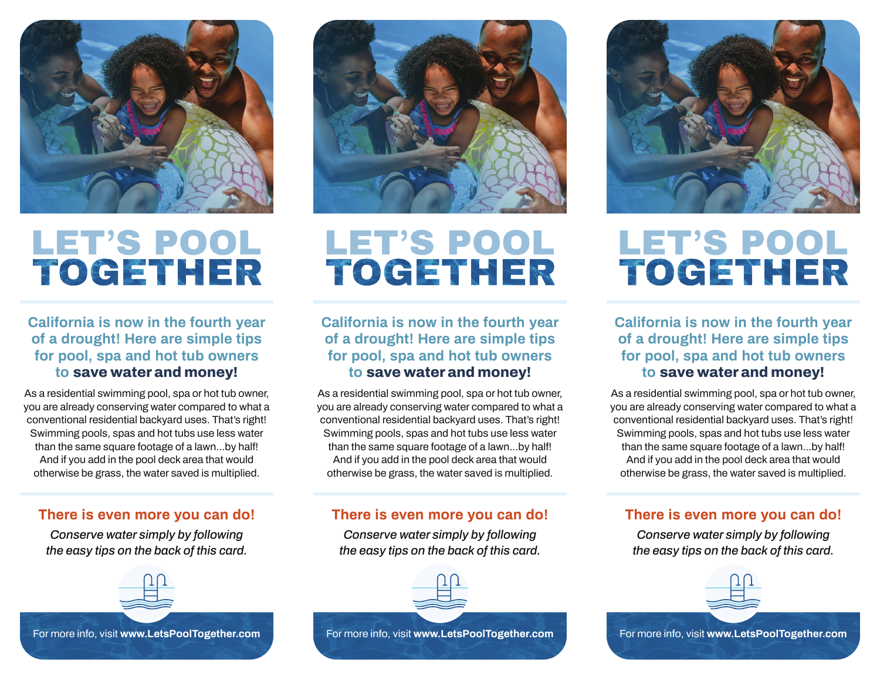

# **LET'S POOL** TOCETHER

# **California is now in the fourth year of a drought! Here are simple tips for pool, spa and hot tub owners to save water and money!**

As a residential swimming pool, spa or hot tub owner, you are already conserving water compared to what a conventional residential backyard uses. That's right! Swimming pools, spas and hot tubs use less water than the same square footage of a lawn...by half! And if you add in the pool deck area that would otherwise be grass, the water saved is multiplied.

## **There is even more you can do!**

*Conserve water simply by following the easy tips on the back of this card.*





# **LET'S POOL** TOCETHER

# **California is now in the fourth year of a drought! Here are simple tips for pool, spa and hot tub owners to save water and money!**

As a residential swimming pool, spa or hot tub owner, you are already conserving water compared to what a conventional residential backyard uses. That's right! Swimming pools, spas and hot tubs use less water than the same square footage of a lawn...by half! And if you add in the pool deck area that would otherwise be grass, the water saved is multiplied.

# **There is even more you can do!**

*Conserve water simply by following the easy tips on the back of this card.*





# **LET'S POOL** TOGETHER

**California is now in the fourth year of a drought! Here are simple tips for pool, spa and hot tub owners to save water and money!**

As a residential swimming pool, spa or hot tub owner, you are already conserving water compared to what a conventional residential backyard uses. That's right! Swimming pools, spas and hot tubs use less water than the same square footage of a lawn...by half! And if you add in the pool deck area that would otherwise be grass, the water saved is multiplied.

# **There is even more you can do!**

*Conserve water simply by following the easy tips on the back of this card.*



For more info, visit **www.LetsPoolTogether.com**